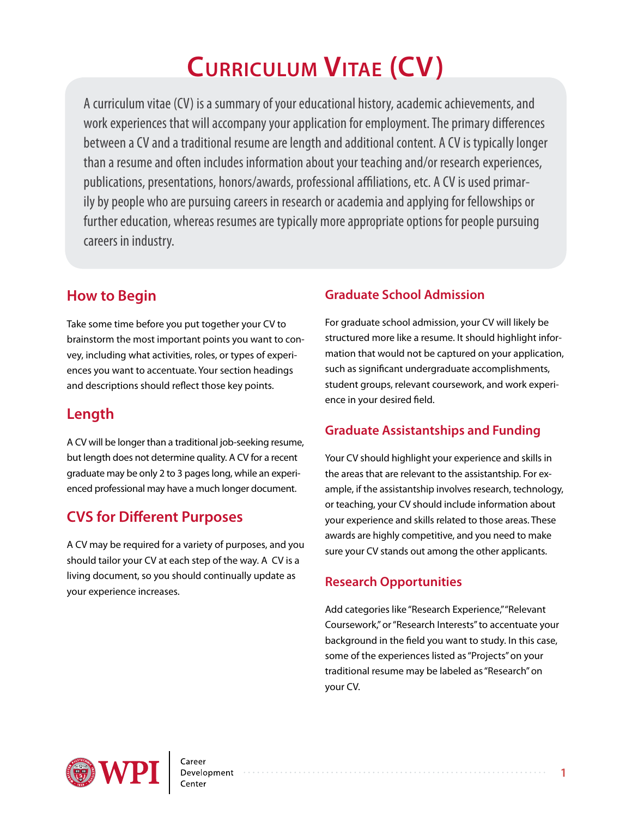# **Curriculum Vitae (CV)**

A curriculum vitae (CV) is a summary of your educational history, academic achievements, and work experiences that will accompany your application for employment. The primary differences between a CV and a traditional resume are length and additional content. A CV is typically longer than a resume and often includes information about your teaching and/or research experiences, publications, presentations, honors/awards, professional affiliations, etc. A CV is used primarily by people who are pursuing careers in research or academia and applying for fellowships or further education, whereas resumes are typically more appropriate options for people pursuing careers in industry.

## **How to Begin**

Take some time before you put together your CV to brainstorm the most important points you want to convey, including what activities, roles, or types of experiences you want to accentuate. Your section headings and descriptions should reflect those key points.

# **Length**

A CV will be longer than a traditional job-seeking resume, but length does not determine quality. A CV for a recent graduate may be only 2 to 3 pages long, while an experienced professional may have a much longer document.

# **CVS for Different Purposes**

A CV may be required for a variety of purposes, and you should tailor your CV at each step of the way. A CV is a living document, so you should continually update as your experience increases.

## **Graduate School Admission**

For graduate school admission, your CV will likely be structured more like a resume. It should highlight information that would not be captured on your application, such as significant undergraduate accomplishments, student groups, relevant coursework, and work experience in your desired field.

## **Graduate Assistantships and Funding**

Your CV should highlight your experience and skills in the areas that are relevant to the assistantship. For example, if the assistantship involves research, technology, or teaching, your CV should include information about your experience and skills related to those areas. These awards are highly competitive, and you need to make sure your CV stands out among the other applicants.

### **Research Opportunities**

Add categories like "Research Experience," "Relevant Coursework," or "Research Interests" to accentuate your background in the field you want to study. In this case, some of the experiences listed as "Projects" on your traditional resume may be labeled as "Research" on your CV.

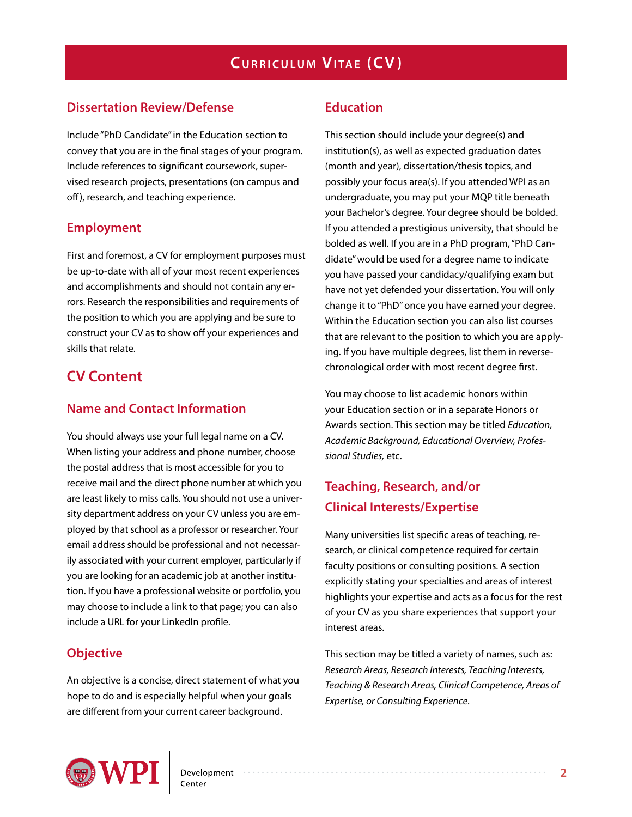#### **Dissertation Review/Defense**

Include "PhD Candidate" in the Education section to convey that you are in the final stages of your program. Include references to significant coursework, supervised research projects, presentations (on campus and off), research, and teaching experience.

#### **Employment**

First and foremost, a CV for employment purposes must be up-to-date with all of your most recent experiences and accomplishments and should not contain any errors. Research the responsibilities and requirements of the position to which you are applying and be sure to construct your CV as to show off your experiences and skills that relate.

## **CV Content**

#### **Name and Contact Information**

You should always use your full legal name on a CV. When listing your address and phone number, choose the postal address that is most accessible for you to receive mail and the direct phone number at which you are least likely to miss calls. You should not use a university department address on your CV unless you are employed by that school as a professor or researcher. Your email address should be professional and not necessarily associated with your current employer, particularly if you are looking for an academic job at another institution. If you have a professional website or portfolio, you may choose to include a link to that page; you can also include a URL for your LinkedIn profile.

#### **Objective**

An objective is a concise, direct statement of what you hope to do and is especially helpful when your goals are different from your current career background.

#### **Education**

This section should include your degree(s) and institution(s), as well as expected graduation dates (month and year), dissertation/thesis topics, and possibly your focus area(s). If you attended WPI as an undergraduate, you may put your MQP title beneath your Bachelor's degree. Your degree should be bolded. If you attended a prestigious university, that should be bolded as well. If you are in a PhD program, "PhD Candidate" would be used for a degree name to indicate you have passed your candidacy/qualifying exam but have not yet defended your dissertation. You will only change it to "PhD" once you have earned your degree. Within the Education section you can also list courses that are relevant to the position to which you are applying. If you have multiple degrees, list them in reversechronological order with most recent degree first.

You may choose to list academic honors within your Education section or in a separate Honors or Awards section. This section may be titled *Education, Academic Background, Educational Overview, Professional Studies,* etc.

## **Teaching, Research, and/or Clinical Interests/Expertise**

Many universities list specific areas of teaching, research, or clinical competence required for certain faculty positions or consulting positions. A section explicitly stating your specialties and areas of interest highlights your expertise and acts as a focus for the rest of your CV as you share experiences that support your interest areas.

This section may be titled a variety of names, such as: *Research Areas, Research Interests, Teaching Interests, Teaching & Research Areas, Clinical Competence, Areas of Expertise, or Consulting Experience*.

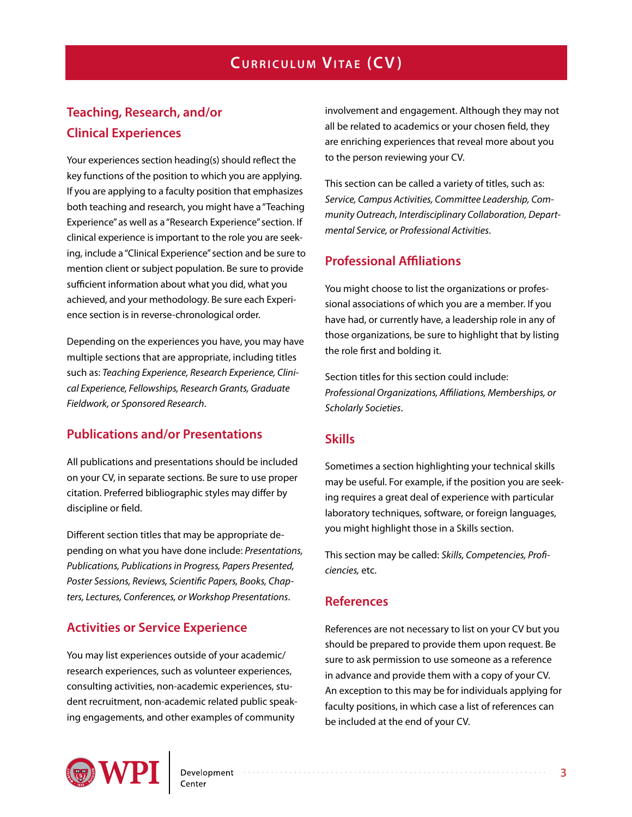## **Teaching, Research, and/or Clinical Experiences**

Your experiences section heading(s) should reflect the key functions of the position to which you are applying. If you are applying to a faculty position that emphasizes both teaching and research, you might have a "Teaching Experience" as well as a "Research Experience" section. If clinical experience is important to the role you are seeking, include a "Clinical Experience" section and be sure to mention client or subject population. Be sure to provide sufficient information about what you did, what you achieved, and your methodology. Be sure each Experience section is in reverse-chronological order.

Depending on the experiences you have, you may have multiple sections that are appropriate, including titles such as: *Teaching Experience, Research Experience, Clinical Experience, Fellowships, Research Grants, Graduate Fieldwork, or Sponsored Research*.

#### **Publications and/or Presentations**

All publications and presentations should be included on your CV, in separate sections. Be sure to use proper citation. Preferred bibliographic styles may differ by discipline or field.

Different section titles that may be appropriate depending on what you have done include: *Presentations, Publications, Publications in Progress, Papers Presented, Poster Sessions, Reviews, Scientific Papers, Books, Chapters, Lectures, Conferences, or Workshop Presentations*.

#### **Activities or Service Experience**

You may list experiences outside of your academic/ research experiences, such as volunteer experiences, consulting activities, non-academic experiences, student recruitment, non-academic related public speaking engagements, and other examples of community

involvement and engagement. Although they may not all be related to academics or your chosen field, they are enriching experiences that reveal more about you to the person reviewing your CV.

This section can be called a variety of titles, such as: *Service, Campus Activities, Committee Leadership, Community Outreach, Interdisciplinary Collaboration, Departmental Service, or Professional Activities*.

#### **Professional Affiliations**

You might choose to list the organizations or professional associations of which you are a member. If you have had, or currently have, a leadership role in any of those organizations, be sure to highlight that by listing the role first and bolding it.

Section titles for this section could include: *Professional Organizations, Affiliations, Memberships, or Scholarly Societies*.

#### **Skills**

Sometimes a section highlighting your technical skills may be useful. For example, if the position you are seeking requires a great deal of experience with particular laboratory techniques, software, or foreign languages, you might highlight those in a Skills section.

This section may be called: *Skills, Competencies, Proficiencies,* etc.

#### **References**

References are not necessary to list on your CV but you should be prepared to provide them upon request. Be sure to ask permission to use someone as a reference in advance and provide them with a copy of your CV. An exception to this may be for individuals applying for faculty positions, in which case a list of references can be included at the end of your CV.

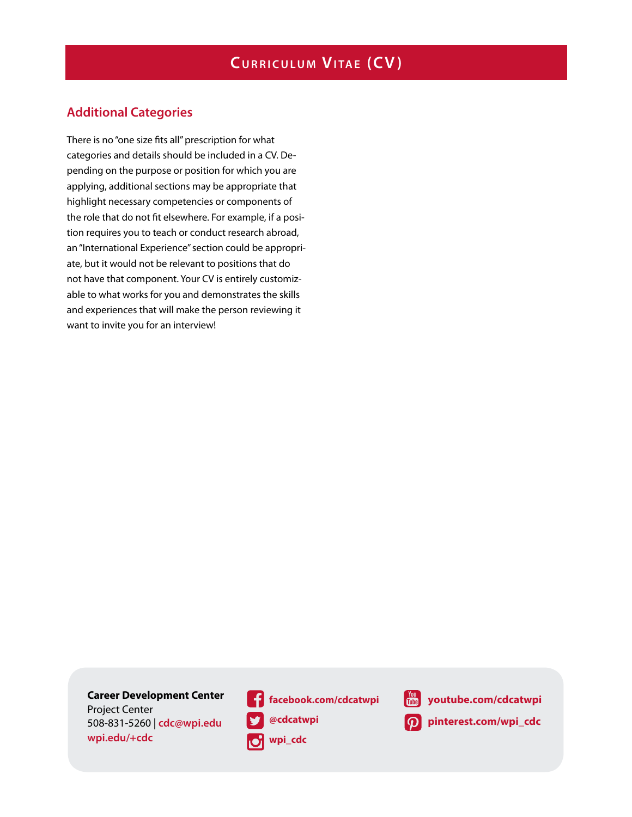#### **Additional Categories**

There is no "one size fits all" prescription for what categories and details should be included in a CV. Depending on the purpose or position for which you are applying, additional sections may be appropriate that highlight necessary competencies or components of the role that do not fit elsewhere. For example, if a position requires you to teach or conduct research abroad, an "International Experience" section could be appropriate, but it would not be relevant to positions that do not have that component. Your CV is entirely customizable to what works for you and demonstrates the skills and experiences that will make the person reviewing it want to invite you for an interview!

**Career Development Center**  Project Center 508-831-5260 | **cdc@wpi.edu wpi.edu/+cdc**

**facebook.com/cdcatwpi @cdcatwpi o** wpi\_cdc



**[youtube.com/cd](http://wp.wpi.edu/cdc/)catwpi** 

**pinterest.com/wpi\_cdc**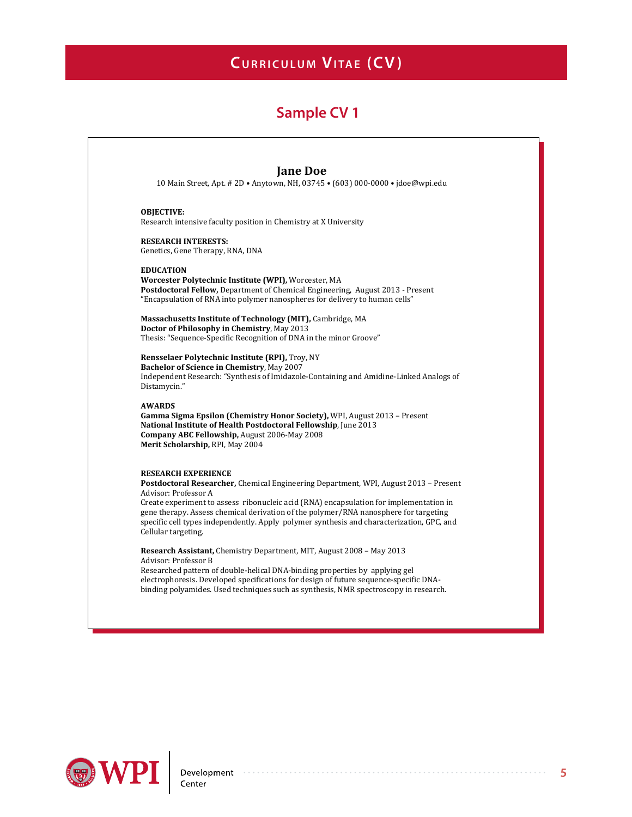## **Sample CV 1**



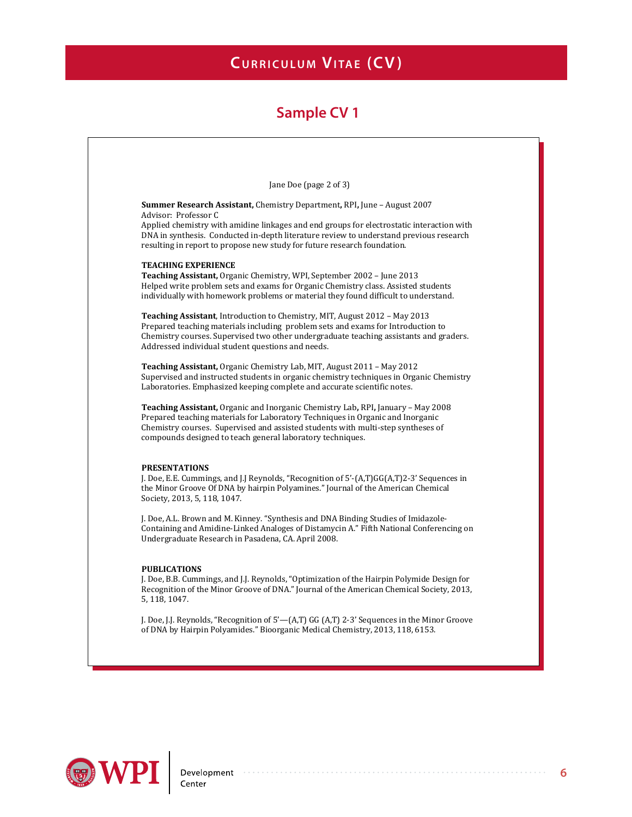

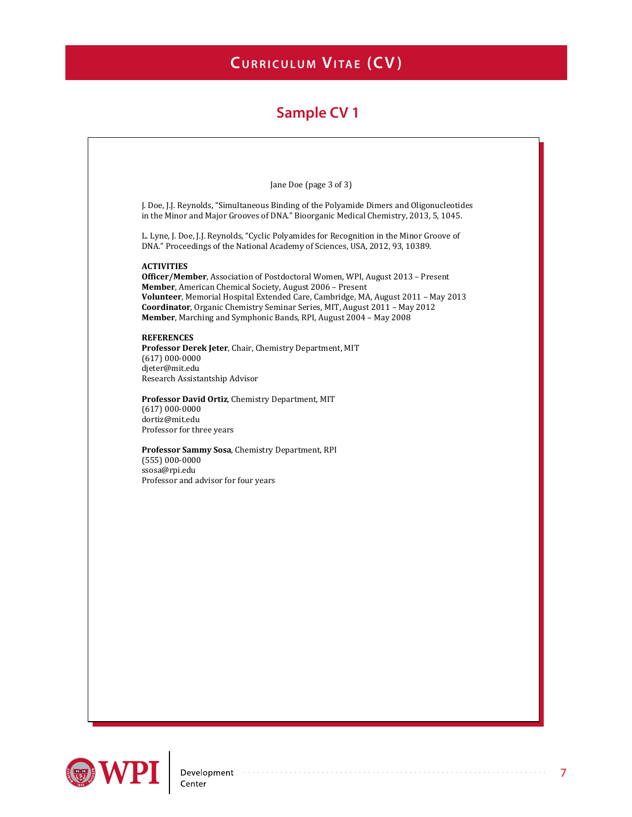

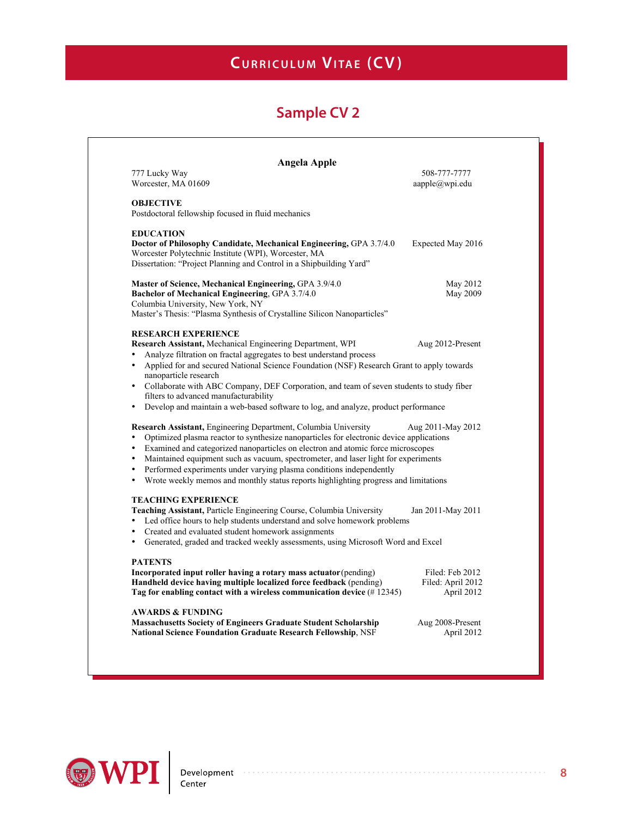| <b>Angela Apple</b>                                                                                                                                                                                                                                                                                                                                                                                                                                                                                                                      |                                                    |
|------------------------------------------------------------------------------------------------------------------------------------------------------------------------------------------------------------------------------------------------------------------------------------------------------------------------------------------------------------------------------------------------------------------------------------------------------------------------------------------------------------------------------------------|----------------------------------------------------|
| 777 Lucky Way<br>Worcester, MA 01609                                                                                                                                                                                                                                                                                                                                                                                                                                                                                                     | 508-777-7777<br>aapple@wpi.edu                     |
| <b>OBJECTIVE</b><br>Postdoctoral fellowship focused in fluid mechanics                                                                                                                                                                                                                                                                                                                                                                                                                                                                   |                                                    |
| <b>EDUCATION</b><br>Doctor of Philosophy Candidate, Mechanical Engineering, GPA 3.7/4.0<br>Worcester Polytechnic Institute (WPI), Worcester, MA<br>Dissertation: "Project Planning and Control in a Shipbuilding Yard"                                                                                                                                                                                                                                                                                                                   | Expected May 2016                                  |
| Master of Science, Mechanical Engineering, GPA 3.9/4.0<br>Bachelor of Mechanical Engineering, GPA 3.7/4.0<br>Columbia University, New York, NY<br>Master's Thesis: "Plasma Synthesis of Crystalline Silicon Nanoparticles"                                                                                                                                                                                                                                                                                                               | May 2012<br>May 2009                               |
| <b>RESEARCH EXPERIENCE</b><br>Research Assistant, Mechanical Engineering Department, WPI<br>Analyze filtration on fractal aggregates to best understand process<br>Applied for and secured National Science Foundation (NSF) Research Grant to apply towards<br>$\bullet$                                                                                                                                                                                                                                                                | Aug 2012-Present                                   |
| nanoparticle research<br>• Collaborate with ABC Company, DEF Corporation, and team of seven students to study fiber<br>filters to advanced manufacturability<br>Develop and maintain a web-based software to log, and analyze, product performance                                                                                                                                                                                                                                                                                       |                                                    |
| Research Assistant, Engineering Department, Columbia University<br>Optimized plasma reactor to synthesize nanoparticles for electronic device applications<br>Examined and categorized nanoparticles on electron and atomic force microscopes<br>$\bullet$<br>Maintained equipment such as vacuum, spectrometer, and laser light for experiments<br>$\bullet$<br>Performed experiments under varying plasma conditions independently<br>Wrote weekly memos and monthly status reports highlighting progress and limitations<br>$\bullet$ | Aug 2011-May 2012                                  |
| <b>TEACHING EXPERIENCE</b><br>Teaching Assistant, Particle Engineering Course, Columbia University<br>Led office hours to help students understand and solve homework problems<br>$\bullet$<br>Created and evaluated student homework assignments<br>$\bullet$<br>Generated, graded and tracked weekly assessments, using Microsoft Word and Excel<br>$\bullet$                                                                                                                                                                          | Jan 2011-May 2011                                  |
| <b>PATENTS</b><br>Incorporated input roller having a rotary mass actuator (pending)<br>Handheld device having multiple localized force feedback (pending)<br>Tag for enabling contact with a wireless communication device (#12345)                                                                                                                                                                                                                                                                                                      | Filed: Feb 2012<br>Filed: April 2012<br>April 2012 |
| <b>AWARDS &amp; FUNDING</b><br><b>Massachusetts Society of Engineers Graduate Student Scholarship</b><br>National Science Foundation Graduate Research Fellowship, NSF                                                                                                                                                                                                                                                                                                                                                                   | Aug 2008-Present<br>April 2012                     |

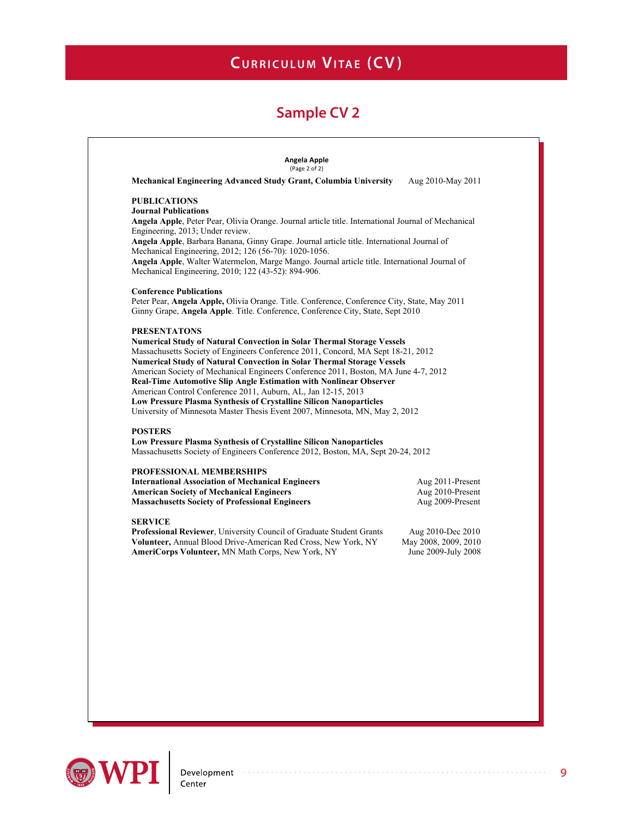| <b>PUBLICATIONS</b><br><b>Journal Publications</b><br>Angela Apple, Peter Pear, Olivia Orange. Journal article title. International Journal of Mechanical<br>Angela Apple, Barbara Banana, Ginny Grape. Journal article title. International Journal of<br>Angela Apple, Walter Watermelon, Marge Mango. Journal article title. International Journal of<br>Peter Pear, Angela Apple, Olivia Orange. Title. Conference, Conference City, State, May 2011<br>Ginny Grape, Angela Apple. Title. Conference, Conference City, State, Sept 2010<br><b>Numerical Study of Natural Convection in Solar Thermal Storage Vessels</b><br>Massachusetts Society of Engineers Conference 2011, Concord, MA Sept 18-21, 2012<br><b>Numerical Study of Natural Convection in Solar Thermal Storage Vessels</b><br>American Society of Mechanical Engineers Conference 2011, Boston, MA June 4-7, 2012<br><b>Real-Time Automotive Slip Angle Estimation with Nonlinear Observer</b><br>University of Minnesota Master Thesis Event 2007, Minnesota, MN, May 2, 2012<br><b>POSTERS</b><br><b>Low Pressure Plasma Synthesis of Crystalline Silicon Nanoparticles</b><br>Massachusetts Society of Engineers Conference 2012, Boston, MA, Sept 20-24, 2012<br><b>American Society of Mechanical Engineers</b><br>Aug 2010-Present<br><b>Massachusetts Society of Professional Engineers</b><br>Aug 2009-Present<br>Aug 2010-Dec 2010 | Mechanical Engineering Advanced Study Grant, Columbia University                                                                                                                            | Aug 2010-May 2011    |
|--------------------------------------------------------------------------------------------------------------------------------------------------------------------------------------------------------------------------------------------------------------------------------------------------------------------------------------------------------------------------------------------------------------------------------------------------------------------------------------------------------------------------------------------------------------------------------------------------------------------------------------------------------------------------------------------------------------------------------------------------------------------------------------------------------------------------------------------------------------------------------------------------------------------------------------------------------------------------------------------------------------------------------------------------------------------------------------------------------------------------------------------------------------------------------------------------------------------------------------------------------------------------------------------------------------------------------------------------------------------------------------------------------------------|---------------------------------------------------------------------------------------------------------------------------------------------------------------------------------------------|----------------------|
|                                                                                                                                                                                                                                                                                                                                                                                                                                                                                                                                                                                                                                                                                                                                                                                                                                                                                                                                                                                                                                                                                                                                                                                                                                                                                                                                                                                                                    |                                                                                                                                                                                             |                      |
|                                                                                                                                                                                                                                                                                                                                                                                                                                                                                                                                                                                                                                                                                                                                                                                                                                                                                                                                                                                                                                                                                                                                                                                                                                                                                                                                                                                                                    |                                                                                                                                                                                             |                      |
|                                                                                                                                                                                                                                                                                                                                                                                                                                                                                                                                                                                                                                                                                                                                                                                                                                                                                                                                                                                                                                                                                                                                                                                                                                                                                                                                                                                                                    |                                                                                                                                                                                             |                      |
|                                                                                                                                                                                                                                                                                                                                                                                                                                                                                                                                                                                                                                                                                                                                                                                                                                                                                                                                                                                                                                                                                                                                                                                                                                                                                                                                                                                                                    | Engineering, 2013; Under review.                                                                                                                                                            |                      |
|                                                                                                                                                                                                                                                                                                                                                                                                                                                                                                                                                                                                                                                                                                                                                                                                                                                                                                                                                                                                                                                                                                                                                                                                                                                                                                                                                                                                                    |                                                                                                                                                                                             |                      |
|                                                                                                                                                                                                                                                                                                                                                                                                                                                                                                                                                                                                                                                                                                                                                                                                                                                                                                                                                                                                                                                                                                                                                                                                                                                                                                                                                                                                                    | Mechanical Engineering, 2012; 126 (56-70): 1020-1056.                                                                                                                                       |                      |
|                                                                                                                                                                                                                                                                                                                                                                                                                                                                                                                                                                                                                                                                                                                                                                                                                                                                                                                                                                                                                                                                                                                                                                                                                                                                                                                                                                                                                    | Mechanical Engineering, 2010; 122 (43-52): 894-906.                                                                                                                                         |                      |
|                                                                                                                                                                                                                                                                                                                                                                                                                                                                                                                                                                                                                                                                                                                                                                                                                                                                                                                                                                                                                                                                                                                                                                                                                                                                                                                                                                                                                    | <b>Conference Publications</b>                                                                                                                                                              |                      |
|                                                                                                                                                                                                                                                                                                                                                                                                                                                                                                                                                                                                                                                                                                                                                                                                                                                                                                                                                                                                                                                                                                                                                                                                                                                                                                                                                                                                                    |                                                                                                                                                                                             |                      |
|                                                                                                                                                                                                                                                                                                                                                                                                                                                                                                                                                                                                                                                                                                                                                                                                                                                                                                                                                                                                                                                                                                                                                                                                                                                                                                                                                                                                                    |                                                                                                                                                                                             |                      |
|                                                                                                                                                                                                                                                                                                                                                                                                                                                                                                                                                                                                                                                                                                                                                                                                                                                                                                                                                                                                                                                                                                                                                                                                                                                                                                                                                                                                                    | <b>PRESENTATONS</b>                                                                                                                                                                         |                      |
|                                                                                                                                                                                                                                                                                                                                                                                                                                                                                                                                                                                                                                                                                                                                                                                                                                                                                                                                                                                                                                                                                                                                                                                                                                                                                                                                                                                                                    |                                                                                                                                                                                             |                      |
|                                                                                                                                                                                                                                                                                                                                                                                                                                                                                                                                                                                                                                                                                                                                                                                                                                                                                                                                                                                                                                                                                                                                                                                                                                                                                                                                                                                                                    |                                                                                                                                                                                             |                      |
|                                                                                                                                                                                                                                                                                                                                                                                                                                                                                                                                                                                                                                                                                                                                                                                                                                                                                                                                                                                                                                                                                                                                                                                                                                                                                                                                                                                                                    |                                                                                                                                                                                             |                      |
|                                                                                                                                                                                                                                                                                                                                                                                                                                                                                                                                                                                                                                                                                                                                                                                                                                                                                                                                                                                                                                                                                                                                                                                                                                                                                                                                                                                                                    |                                                                                                                                                                                             |                      |
|                                                                                                                                                                                                                                                                                                                                                                                                                                                                                                                                                                                                                                                                                                                                                                                                                                                                                                                                                                                                                                                                                                                                                                                                                                                                                                                                                                                                                    | American Control Conference 2011, Auburn, AL, Jan 12-15, 2013                                                                                                                               |                      |
|                                                                                                                                                                                                                                                                                                                                                                                                                                                                                                                                                                                                                                                                                                                                                                                                                                                                                                                                                                                                                                                                                                                                                                                                                                                                                                                                                                                                                    | <b>Low Pressure Plasma Synthesis of Crystalline Silicon Nanoparticles</b>                                                                                                                   |                      |
|                                                                                                                                                                                                                                                                                                                                                                                                                                                                                                                                                                                                                                                                                                                                                                                                                                                                                                                                                                                                                                                                                                                                                                                                                                                                                                                                                                                                                    |                                                                                                                                                                                             |                      |
|                                                                                                                                                                                                                                                                                                                                                                                                                                                                                                                                                                                                                                                                                                                                                                                                                                                                                                                                                                                                                                                                                                                                                                                                                                                                                                                                                                                                                    |                                                                                                                                                                                             |                      |
|                                                                                                                                                                                                                                                                                                                                                                                                                                                                                                                                                                                                                                                                                                                                                                                                                                                                                                                                                                                                                                                                                                                                                                                                                                                                                                                                                                                                                    |                                                                                                                                                                                             |                      |
|                                                                                                                                                                                                                                                                                                                                                                                                                                                                                                                                                                                                                                                                                                                                                                                                                                                                                                                                                                                                                                                                                                                                                                                                                                                                                                                                                                                                                    |                                                                                                                                                                                             |                      |
|                                                                                                                                                                                                                                                                                                                                                                                                                                                                                                                                                                                                                                                                                                                                                                                                                                                                                                                                                                                                                                                                                                                                                                                                                                                                                                                                                                                                                    | <b>PROFESSIONAL MEMBERSHIPS</b>                                                                                                                                                             |                      |
|                                                                                                                                                                                                                                                                                                                                                                                                                                                                                                                                                                                                                                                                                                                                                                                                                                                                                                                                                                                                                                                                                                                                                                                                                                                                                                                                                                                                                    | <b>International Association of Mechanical Engineers</b>                                                                                                                                    | Aug 2011-Present     |
|                                                                                                                                                                                                                                                                                                                                                                                                                                                                                                                                                                                                                                                                                                                                                                                                                                                                                                                                                                                                                                                                                                                                                                                                                                                                                                                                                                                                                    |                                                                                                                                                                                             |                      |
|                                                                                                                                                                                                                                                                                                                                                                                                                                                                                                                                                                                                                                                                                                                                                                                                                                                                                                                                                                                                                                                                                                                                                                                                                                                                                                                                                                                                                    |                                                                                                                                                                                             |                      |
|                                                                                                                                                                                                                                                                                                                                                                                                                                                                                                                                                                                                                                                                                                                                                                                                                                                                                                                                                                                                                                                                                                                                                                                                                                                                                                                                                                                                                    |                                                                                                                                                                                             |                      |
|                                                                                                                                                                                                                                                                                                                                                                                                                                                                                                                                                                                                                                                                                                                                                                                                                                                                                                                                                                                                                                                                                                                                                                                                                                                                                                                                                                                                                    |                                                                                                                                                                                             |                      |
|                                                                                                                                                                                                                                                                                                                                                                                                                                                                                                                                                                                                                                                                                                                                                                                                                                                                                                                                                                                                                                                                                                                                                                                                                                                                                                                                                                                                                    |                                                                                                                                                                                             |                      |
|                                                                                                                                                                                                                                                                                                                                                                                                                                                                                                                                                                                                                                                                                                                                                                                                                                                                                                                                                                                                                                                                                                                                                                                                                                                                                                                                                                                                                    |                                                                                                                                                                                             | May 2008, 2009, 2010 |
|                                                                                                                                                                                                                                                                                                                                                                                                                                                                                                                                                                                                                                                                                                                                                                                                                                                                                                                                                                                                                                                                                                                                                                                                                                                                                                                                                                                                                    | <b>SERVICE</b>                                                                                                                                                                              | June 2009-July 2008  |
|                                                                                                                                                                                                                                                                                                                                                                                                                                                                                                                                                                                                                                                                                                                                                                                                                                                                                                                                                                                                                                                                                                                                                                                                                                                                                                                                                                                                                    |                                                                                                                                                                                             |                      |
|                                                                                                                                                                                                                                                                                                                                                                                                                                                                                                                                                                                                                                                                                                                                                                                                                                                                                                                                                                                                                                                                                                                                                                                                                                                                                                                                                                                                                    |                                                                                                                                                                                             |                      |
|                                                                                                                                                                                                                                                                                                                                                                                                                                                                                                                                                                                                                                                                                                                                                                                                                                                                                                                                                                                                                                                                                                                                                                                                                                                                                                                                                                                                                    |                                                                                                                                                                                             |                      |
|                                                                                                                                                                                                                                                                                                                                                                                                                                                                                                                                                                                                                                                                                                                                                                                                                                                                                                                                                                                                                                                                                                                                                                                                                                                                                                                                                                                                                    | Professional Reviewer, University Council of Graduate Student Grants<br>Volunteer, Annual Blood Drive-American Red Cross, New York, NY<br>AmeriCorps Volunteer, MN Math Corps, New York, NY |                      |
|                                                                                                                                                                                                                                                                                                                                                                                                                                                                                                                                                                                                                                                                                                                                                                                                                                                                                                                                                                                                                                                                                                                                                                                                                                                                                                                                                                                                                    |                                                                                                                                                                                             |                      |
|                                                                                                                                                                                                                                                                                                                                                                                                                                                                                                                                                                                                                                                                                                                                                                                                                                                                                                                                                                                                                                                                                                                                                                                                                                                                                                                                                                                                                    |                                                                                                                                                                                             |                      |

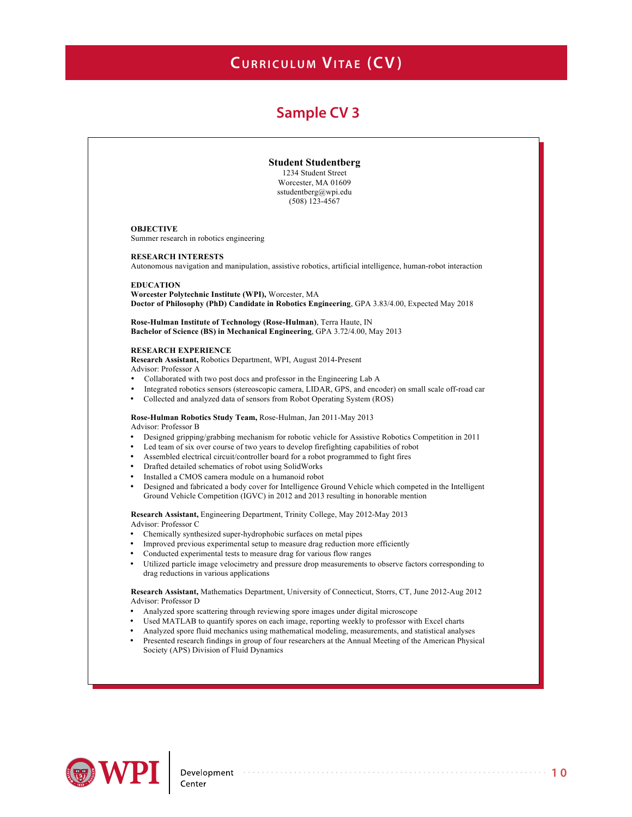## **Sample CV 3**